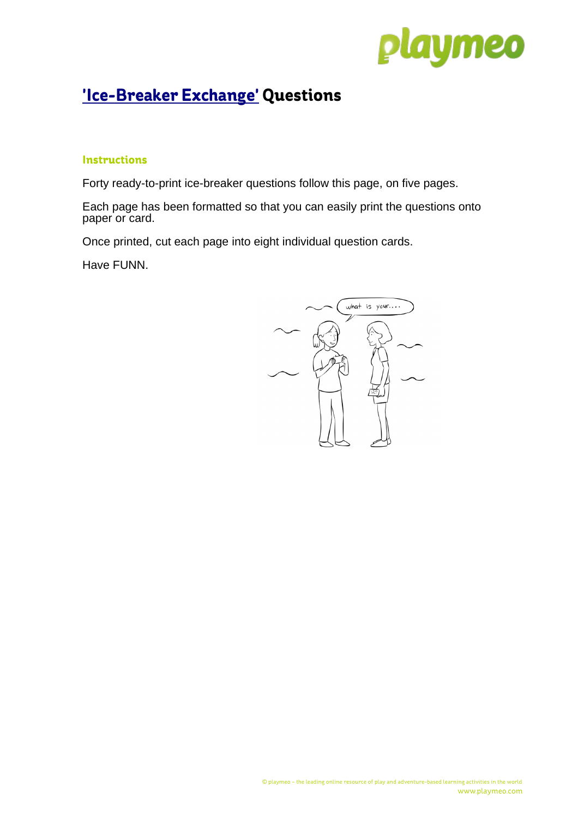

## **['Ice-Breaker Exchange'](http://www.playmeo.com/activity/ice-breaker-question-exchange) Questions**

## **Instructions**

Forty ready-to-print ice-breaker questions follow this page, on five pages.

Each page has been formatted so that you can easily print the questions onto paper or card.

Once printed, cut each page into eight individual question cards.

Have FUNN.

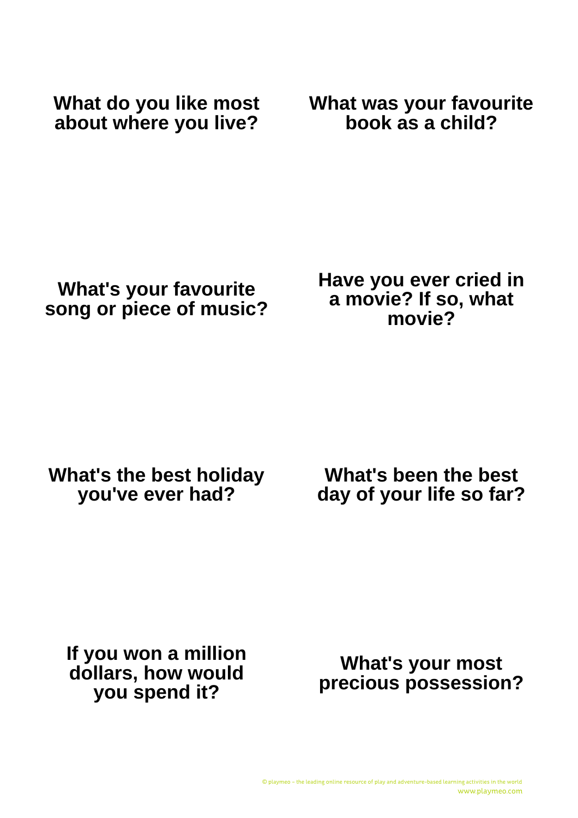**What do you like most about where you live?** **What was your favourite book as a child?**

**What's your favourite song or piece of music?** **Have you ever cried in a movie? If so, what movie?**

**What's the best holiday you've ever had?**

**What's been the best day of your life so far?**

**If you won a million dollars, how would you spend it?**

**What's your most precious possession?**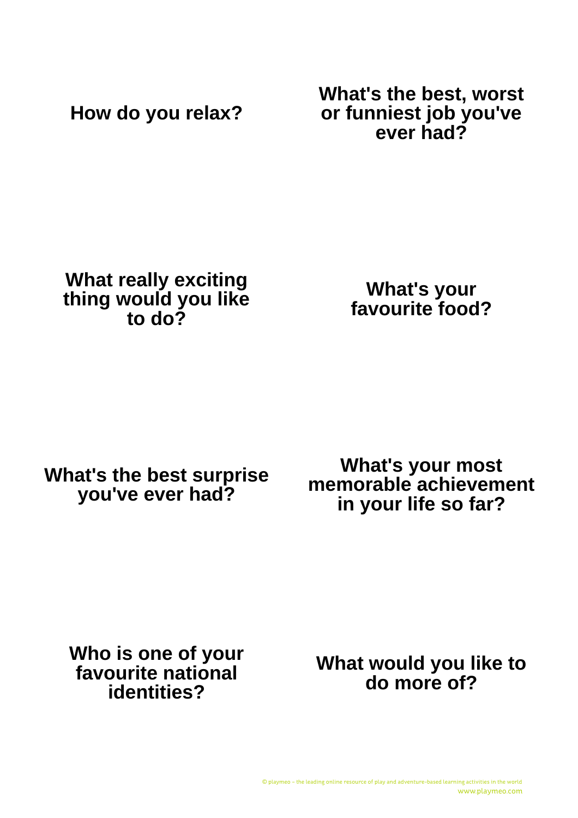**How do you relax?**

**What's the best, worst or funniest job you've ever had?**

**What really exciting thing would you like to do?**

**What's your favourite food?**

**What's the best surprise you've ever had?**

**What's your most memorable achievement in your life so far?**

**Who is one of your favourite national identities?**

**What would you like to do more of?**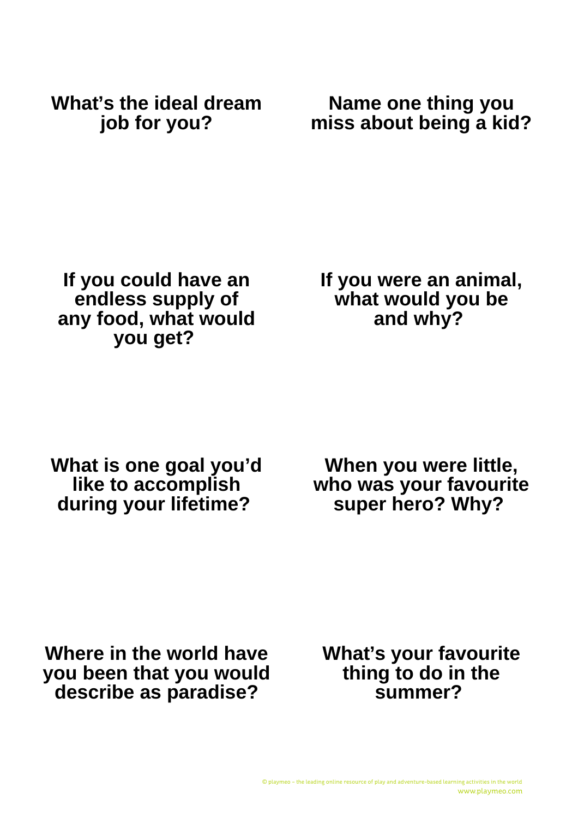**What's the ideal dream job for you?**

**Name one thing you miss about being a kid?**

**If you could have an endless supply of any food, what would you get?** 

**If you were an animal, what would you be and why?** 

**What is one goal you'd like to accomplish during your lifetime?** 

**When you were little, who was your favourite super hero? Why?** 

**Where in the world have you been that you would describe as paradise?**

**What's your favourite thing to do in the summer?**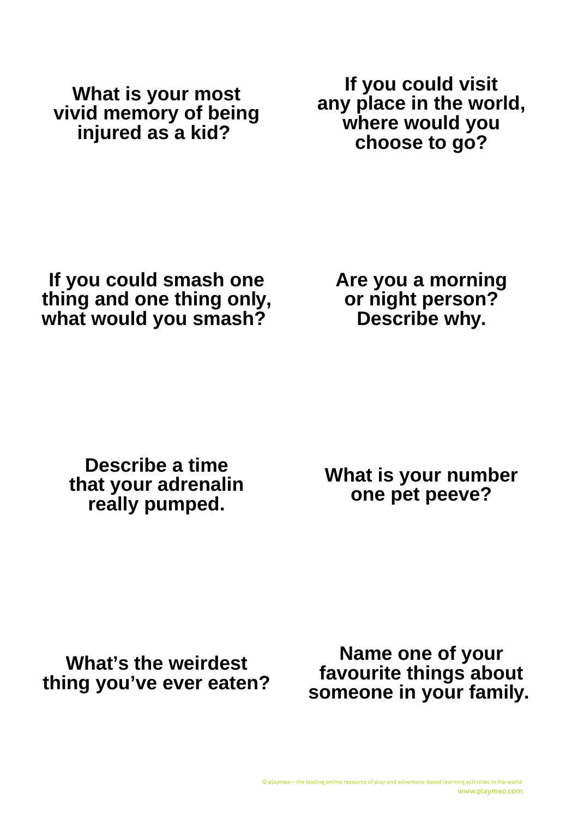**What is your most vivid memory of being injured as a kid?** 

**If you could visit any place in the world, where would you choose to go?**

**If you could smash one thing and one thing only, what would you smash?** 

**Are you a morning or night person? Describe why.**

**Describe a time that your adrenalin really pumped.**

**What is your number one pet peeve?**

**What's the weirdest thing you've ever eaten?**

**Name one of your favourite things about someone in your family.**